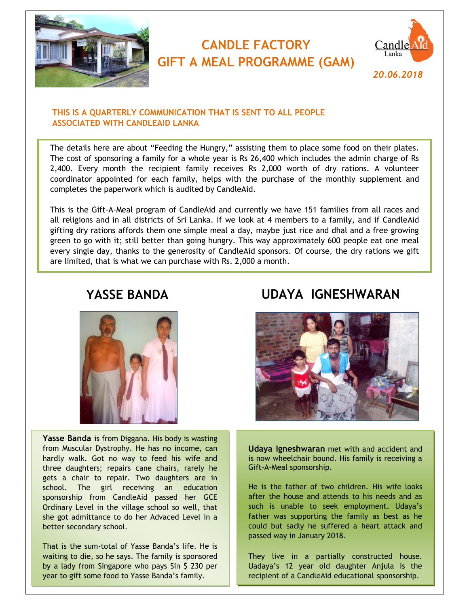

# **CANDLE FACTORY GIFT A MEAL PROGRAMME (GAM)**



### **THIS IS A QUARTERLY COMMUNICATION THAT IS SENT TO ALL PEOPLE ASSOCIATED WITH CANDLEAID LANKA**

The details here are about "Feeding the Hungry," assisting them to place some food on their plates. The cost of sponsoring a family for a whole year is Rs 26,400 which includes the admin charge of Rs 2,400. Every month the recipient family receives Rs 2,000 worth of dry rations. A volunteer coordinator appointed for each family, helps with the purchase of the monthly supplement and completes the paperwork which is audited by CandleAid.

This is the Gift-A-Meal program of CandleAid and currently we have 151 families from all races and all religions and in all districts of Sri Lanka. If we look at 4 members to a family, and if CandleAid gifting dry rations affords them one simple meal a day, maybe just rice and dhal and a free growing green to go with it; still better than going hungry. This way approximately 600 people eat one meal every single day, thanks to the generosity of CandleAid sponsors. Of course, the dry rations we gift are limited, that is what we can purchase with Rs. 2,000 a month.



**Yasse Banda** is from Diggana. His body is wasting from Muscular Dystrophy. He has no income, can hardly walk. Got no way to feed his wife and three daughters; repairs cane chairs, rarely he gets a chair to repair. Two daughters are in school. The girl receiving an education sponsorship from CandleAid passed her GCE Ordinary Level in the village school so well, that she got admittance to do her Advaced Level in a better secondary school.

That is the sum-total of Yasse Banda's life. He is waiting to die, so he says. The family is sponsored by a lady from Singapore who pays Sin \$ 230 per year to gift some food to Yasse Banda's family.

## **YASSE BANDA UDAYA IGNESHWARAN**



**Udaya Igneshwaran** met with and accident and is now wheelchair bound. His family is receiving a Gift-A-Meal sponsorship.

He is the father of two children. His wife looks after the house and attends to his needs and as such is unable to seek employment. Udaya's father was supporting the family as best as he could but sadly he suffered a heart attack and passed way in January 2018.

They live in a partially constructed house. Uadaya's 12 year old daughter Anjula is the recipient of a CandleAid educational sponsorship.